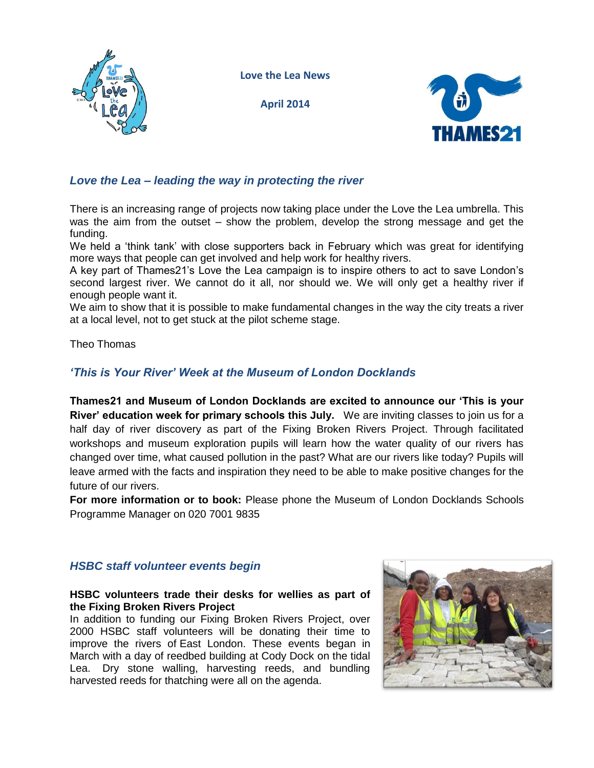

**Love the Lea News**

**April 2014**



# *Love the Lea – leading the way in protecting the river*

There is an increasing range of projects now taking place under the Love the Lea umbrella. This was the aim from the outset – show the problem, develop the strong message and get the funding.

We held a 'think tank' with close supporters back in February which was great for identifying more ways that people can get involved and help work for healthy rivers.

A key part of Thames21's Love the Lea campaign is to inspire others to act to save London's second largest river. We cannot do it all, nor should we. We will only get a healthy river if enough people want it.

We aim to show that it is possible to make fundamental changes in the way the city treats a river at a local level, not to get stuck at the pilot scheme stage.

Theo Thomas

# *'This is Your River' Week at the Museum of London Docklands*

**Thames21 and Museum of London Docklands are excited to announce our 'This is your River' education week for primary schools this July.** We are inviting classes to join us for a half day of river discovery as part of the Fixing Broken Rivers Project. Through facilitated workshops and museum exploration pupils will learn how the water quality of our rivers has changed over time, what caused pollution in the past? What are our rivers like today? Pupils will leave armed with the facts and inspiration they need to be able to make positive changes for the future of our rivers.

**For more information or to book:** Please phone the Museum of London Docklands Schools Programme Manager on 020 7001 9835

## *HSBC staff volunteer events begin*

#### **HSBC volunteers trade their desks for wellies as part of the Fixing Broken Rivers Project**

In addition to funding our Fixing Broken Rivers Project, over 2000 HSBC staff volunteers will be donating their time to improve the rivers of East London. These events began in March with a day of reedbed building at Cody Dock on the tidal Lea. Dry stone walling, harvesting reeds, and bundling harvested reeds for thatching were all on the agenda.

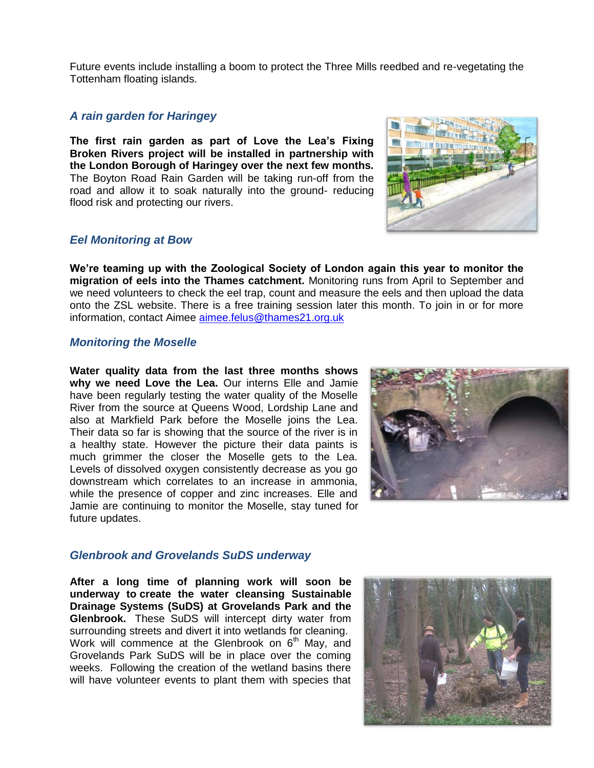Future events include installing a boom to protect the Three Mills reedbed and re-vegetating the Tottenham floating islands.

### *A rain garden for Haringey*

**The first rain garden as part of Love the Lea's Fixing Broken Rivers project will be installed in partnership with the London Borough of Haringey over the next few months.** The Boyton Road Rain Garden will be taking run-off from the road and allow it to soak naturally into the ground- reducing flood risk and protecting our rivers.

## *Eel Monitoring at Bow*

**We're teaming up with the Zoological Society of London again this year to monitor the migration of eels into the Thames catchment.** Monitoring runs from April to September and we need volunteers to check the eel trap, count and measure the eels and then upload the data onto the ZSL website. There is a free training session later this month. To join in or for more information, contact Aimee [aimee.felus@thames21.org.uk](mailto:aimee.felus@thames21.org.uk)

#### *Monitoring the Moselle*

**Water quality data from the last three months shows why we need Love the Lea.** Our interns Elle and Jamie have been regularly testing the water quality of the Moselle River from the source at Queens Wood, Lordship Lane and also at Markfield Park before the Moselle joins the Lea. Their data so far is showing that the source of the river is in a healthy state. However the picture their data paints is much grimmer the closer the Moselle gets to the Lea. Levels of dissolved oxygen consistently decrease as you go downstream which correlates to an increase in ammonia, while the presence of copper and zinc increases. Elle and Jamie are continuing to monitor the Moselle, stay tuned for future updates.



## *Glenbrook and Grovelands SuDS underway*

**After a long time of planning work will soon be underway to create the water cleansing Sustainable Drainage Systems (SuDS) at Grovelands Park and the Glenbrook.** These SuDS will intercept dirty water from surrounding streets and divert it into wetlands for cleaning. Work will commence at the Glenbrook on  $6<sup>th</sup>$  May, and Grovelands Park SuDS will be in place over the coming weeks. Following the creation of the wetland basins there will have volunteer events to plant them with species that